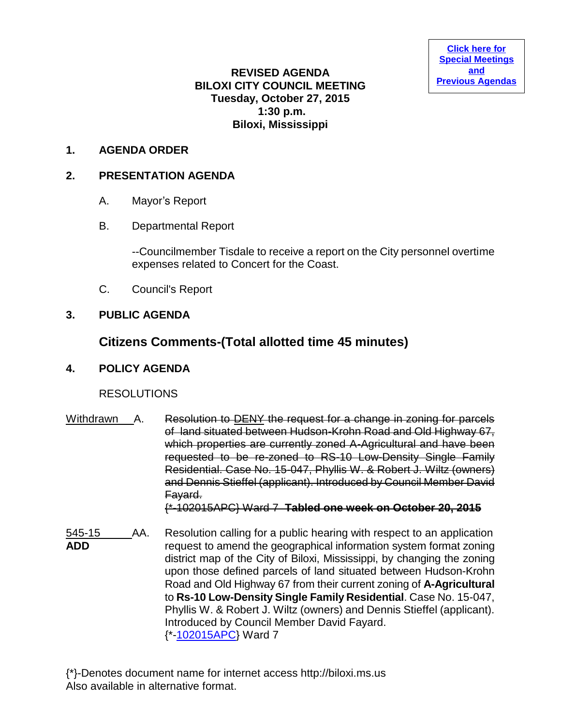## **REVISED AGENDA BILOXI CITY COUNCIL MEETING Tuesday, October 27, 2015 1:30 p.m. Biloxi, Mississippi**

### **1. AGENDA ORDER**

### **2. PRESENTATION AGENDA**

- A. Mayor's Report
- B. Departmental Report

--Councilmember Tisdale to receive a report on the City personnel overtime expenses related to Concert for the Coast.

C. Council's Report

### **3. PUBLIC AGENDA**

## **Citizens Comments-(Total allotted time 45 minutes)**

#### **4. POLICY AGENDA**

## **RESOLUTIONS**

Withdrawn A. Resolution to DENY the request for a change in zoning for parcels of land situated between Hudson-Krohn Road and Old Highway 67, which properties are currently zoned A-Agricultural and have been requested to be re-zoned to RS-10 Low-Density Single Family Residential. Case No. 15-047, Phyllis W. & Robert J. Wiltz (owners) and Dennis Stieffel (applicant). Introduced by Council Member David Fayard.

{\*-102015APC} Ward 7 **Tabled one week on October 20, 2015**

545-15 AA. Resolution calling for a public hearing with respect to an application **ADD** request to amend the geographical information system format zoning district map of the City of Biloxi, Mississippi, by changing the zoning upon those defined parcels of land situated between Hudson-Krohn Road and Old Highway 67 from their current zoning of **A-Agricultural** to **Rs-10 Low-Density Single Family Residential**. Case No. 15-047, Phyllis W. & Robert J. Wiltz (owners) and Dennis Stieffel (applicant). Introduced by Council Member David Fayard. {\*[-102015APC}](http://www.biloxi.ms.us/agendas/citycouncil/2015/102715/102015apc.pdf) Ward 7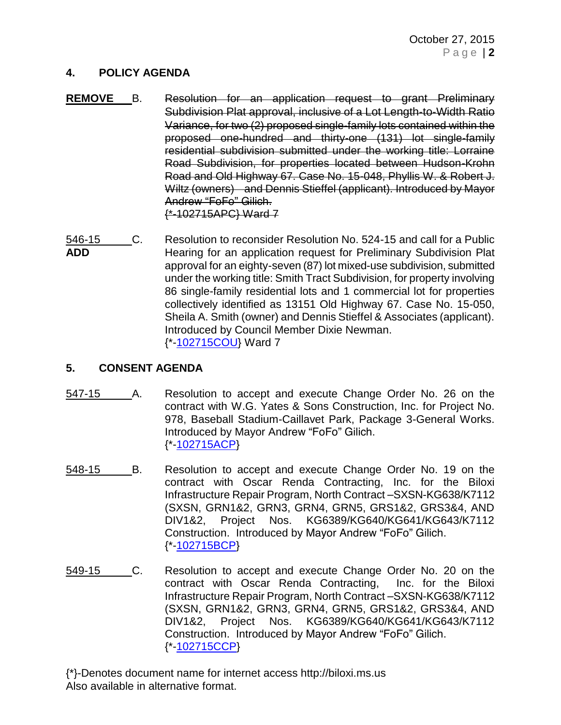## **4. POLICY AGENDA**

- **REMOVE** B. Resolution for an application request to grant Preliminary Subdivision Plat approval, inclusive of a Lot Length-to-Width Ratio Variance, for two (2) proposed single-family lots contained within the proposed one-hundred and thirty-one (131) lot single-family residential subdivision submitted under the working title: Lorraine Road Subdivision, for properties located between Hudson-Krohn Road and Old Highway 67. Case No. 15-048, Phyllis W. & Robert J. Wiltz (owners) and Dennis Stieffel (applicant). Introduced by Mayor Andrew "FoFo" Gilich. {\*-102715APC} Ward 7
- 546-15 C. Resolution to reconsider Resolution No. 524-15 and call for a Public **ADD** Hearing for an application request for Preliminary Subdivision Plat approval for an eighty-seven (87) lot mixed-use subdivision, submitted under the working title: Smith Tract Subdivision, for property involving 86 single-family residential lots and 1 commercial lot for properties collectively identified as 13151 Old Highway 67. Case No. 15-050, Sheila A. Smith (owner) and Dennis Stieffel & Associates (applicant). Introduced by Council Member Dixie Newman. {\*[-102715COU}](http://www.biloxi.ms.us/agendas/citycouncil/2015/102715/102715cou.pdf) Ward 7

## **5. CONSENT AGENDA**

- 547-15 A. Resolution to accept and execute Change Order No. 26 on the contract with W.G. Yates & Sons Construction, Inc. for Project No. 978, Baseball Stadium-Caillavet Park, Package 3-General Works. Introduced by Mayor Andrew "FoFo" Gilich. {\*[-102715ACP}](http://www.biloxi.ms.us/agendas/citycouncil/2015/102715/102715acp.pdf)
- 548-15 B. Resolution to accept and execute Change Order No. 19 on the contract with Oscar Renda Contracting, Inc. for the Biloxi Infrastructure Repair Program, North Contract –SXSN-KG638/K7112 (SXSN, GRN1&2, GRN3, GRN4, GRN5, GRS1&2, GRS3&4, AND DIV1&2, Project Nos. KG6389/KG640/KG641/KG643/K7112 Construction. Introduced by Mayor Andrew "FoFo" Gilich. {\*[-102715BCP}](http://www.biloxi.ms.us/agendas/citycouncil/2015/102715/102715bcp.pdf)
- 549-15 C. Resolution to accept and execute Change Order No. 20 on the contract with Oscar Renda Contracting, Inc. for the Biloxi Infrastructure Repair Program, North Contract –SXSN-KG638/K7112 (SXSN, GRN1&2, GRN3, GRN4, GRN5, GRS1&2, GRS3&4, AND DIV1&2, Project Nos. KG6389/KG640/KG641/KG643/K7112 Construction. Introduced by Mayor Andrew "FoFo" Gilich. {\*[-102715CCP}](http://www.biloxi.ms.us/agendas/citycouncil/2015/102715/102715ccp.pdf)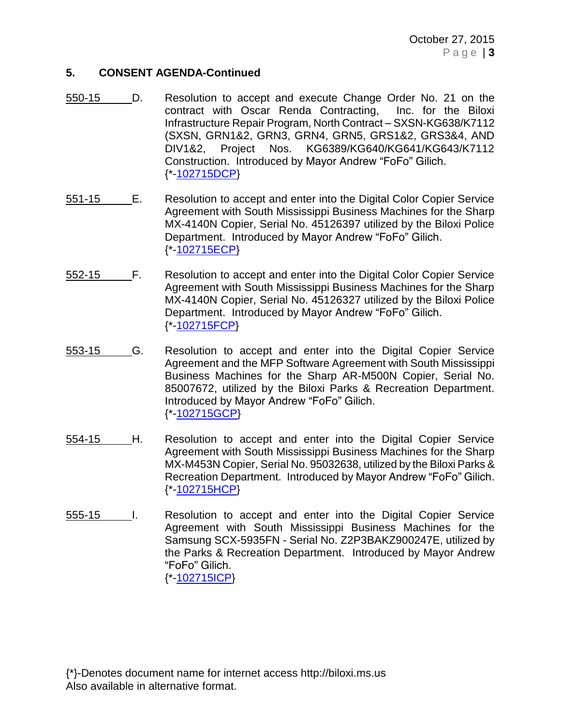October 27, 2015 P a g e | **3**

### **5. CONSENT AGENDA-Continued**

- 550-15 D. Resolution to accept and execute Change Order No. 21 on the contract with Oscar Renda Contracting, Inc. for the Biloxi Infrastructure Repair Program, North Contract – SXSN-KG638/K7112 (SXSN, GRN1&2, GRN3, GRN4, GRN5, GRS1&2, GRS3&4, AND DIV1&2, Project Nos. KG6389/KG640/KG641/KG643/K7112 Construction. Introduced by Mayor Andrew "FoFo" Gilich. {\*[-102715DCP}](http://www.biloxi.ms.us/agendas/citycouncil/2015/102715/102715dcp.pdf)
- 551-15 E. Resolution to accept and enter into the Digital Color Copier Service Agreement with South Mississippi Business Machines for the Sharp MX-4140N Copier, Serial No. 45126397 utilized by the Biloxi Police Department. Introduced by Mayor Andrew "FoFo" Gilich. {\*[-102715ECP}](http://www.biloxi.ms.us/agendas/citycouncil/2015/102715/102715ecp.pdf)
- 552-15 F. Resolution to accept and enter into the Digital Color Copier Service Agreement with South Mississippi Business Machines for the Sharp MX-4140N Copier, Serial No. 45126327 utilized by the Biloxi Police Department. Introduced by Mayor Andrew "FoFo" Gilich. {\*[-102715FCP}](http://www.biloxi.ms.us/agendas/citycouncil/2015/102715/102715fcp.pdf)
- 553-15 G. Resolution to accept and enter into the Digital Copier Service Agreement and the MFP Software Agreement with South Mississippi Business Machines for the Sharp AR-M500N Copier, Serial No. 85007672, utilized by the Biloxi Parks & Recreation Department. Introduced by Mayor Andrew "FoFo" Gilich. {\*[-102715GCP}](http://www.biloxi.ms.us/agendas/citycouncil/2015/102715/102715gcp.pdf)
- 554-15 H. Resolution to accept and enter into the Digital Copier Service Agreement with South Mississippi Business Machines for the Sharp MX-M453N Copier, Serial No. 95032638, utilized by the Biloxi Parks & Recreation Department. Introduced by Mayor Andrew "FoFo" Gilich. {\*[-102715HCP}](http://www.biloxi.ms.us/agendas/citycouncil/2015/102715/102715hcp.pdf)
- 555-15 I. Resolution to accept and enter into the Digital Copier Service Agreement with South Mississippi Business Machines for the Samsung SCX-5935FN - Serial No. Z2P3BAKZ900247E, utilized by the Parks & Recreation Department. Introduced by Mayor Andrew "FoFo" Gilich. {\*[-102715ICP}](http://www.biloxi.ms.us/agendas/citycouncil/2015/102715/102715icp.pdf)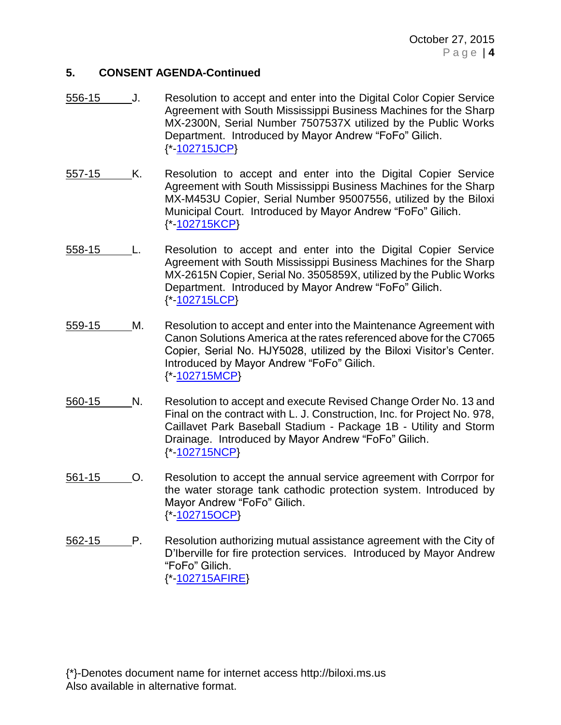October 27, 2015 P a g e | **4**

### **5. CONSENT AGENDA-Continued**

- 556-15 J. Resolution to accept and enter into the Digital Color Copier Service Agreement with South Mississippi Business Machines for the Sharp MX-2300N, Serial Number 7507537X utilized by the Public Works Department. Introduced by Mayor Andrew "FoFo" Gilich. {\*[-102715JCP}](http://www.biloxi.ms.us/agendas/citycouncil/2015/102715/102715jcp.pdf)
- 557-15 K. Resolution to accept and enter into the Digital Copier Service Agreement with South Mississippi Business Machines for the Sharp MX-M453U Copier, Serial Number 95007556, utilized by the Biloxi Municipal Court. Introduced by Mayor Andrew "FoFo" Gilich. {\*[-102715KCP}](http://www.biloxi.ms.us/agendas/citycouncil/2015/102715/102715kcp.pdf)
- 558-15 L. Resolution to accept and enter into the Digital Copier Service Agreement with South Mississippi Business Machines for the Sharp MX-2615N Copier, Serial No. 3505859X, utilized by the Public Works Department. Introduced by Mayor Andrew "FoFo" Gilich. {\*[-102715LCP}](http://www.biloxi.ms.us/agendas/citycouncil/2015/102715/102715lcp.pdf)
- 559-15 M. Resolution to accept and enter into the Maintenance Agreement with Canon Solutions America at the rates referenced above for the C7065 Copier, Serial No. HJY5028, utilized by the Biloxi Visitor's Center. Introduced by Mayor Andrew "FoFo" Gilich. {\*[-102715MCP}](http://www.biloxi.ms.us/agendas/citycouncil/2015/102715/102715mcp.pdf)
- 560-15 N. Resolution to accept and execute Revised Change Order No. 13 and Final on the contract with L. J. Construction, Inc. for Project No. 978, Caillavet Park Baseball Stadium - Package 1B - Utility and Storm Drainage. Introduced by Mayor Andrew "FoFo" Gilich. {\*[-102715NCP}](http://www.biloxi.ms.us/agendas/citycouncil/2015/102715/102715ncp.pdf)
- 561-15 O. Resolution to accept the annual service agreement with Corrpor for the water storage tank cathodic protection system. Introduced by Mayor Andrew "FoFo" Gilich. {\*[-102715OCP}](http://www.biloxi.ms.us/agendas/citycouncil/2015/102715/102715ocp.pdf)
- 562-15 P. Resolution authorizing mutual assistance agreement with the City of D'Iberville for fire protection services. Introduced by Mayor Andrew "FoFo" Gilich. {\*[-102715AFIRE}](http://www.biloxi.ms.us/agendas/citycouncil/2015/102715/102715afire.pdf)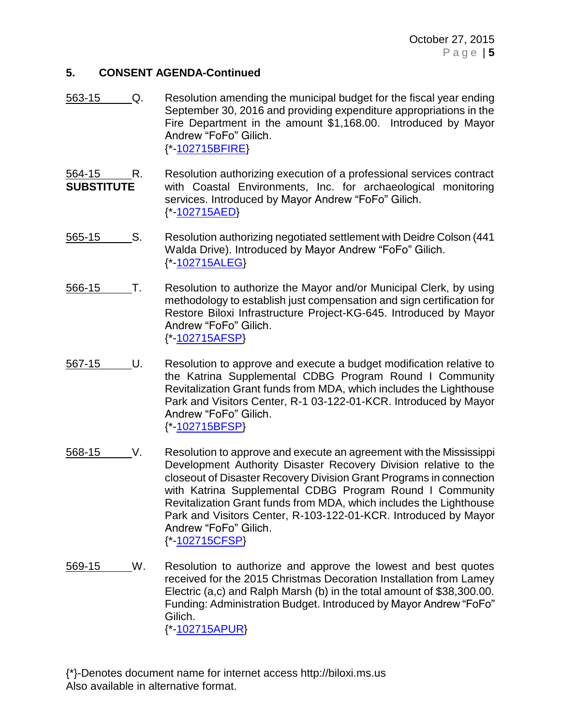## **5. CONSENT AGENDA-Continued**

- 563-15 Q. Resolution amending the municipal budget for the fiscal year ending September 30, 2016 and providing expenditure appropriations in the Fire Department in the amount \$1,168.00. Introduced by Mayor Andrew "FoFo" Gilich. {\*[-102715BFIRE}](http://www.biloxi.ms.us/agendas/citycouncil/2015/102715/102715bfire.pdf)
- 564-15 R. Resolution authorizing execution of a professional services contract **SUBSTITUTE** with Coastal Environments, Inc. for archaeological monitoring services. Introduced by Mayor Andrew "FoFo" Gilich. {\*[-102715AED}](http://www.biloxi.ms.us/agendas/citycouncil/2015/102715/102715aed.pdf)
- 565-15 S. Resolution authorizing negotiated settlement with Deidre Colson (441 Walda Drive). Introduced by Mayor Andrew "FoFo" Gilich. {\*[-102715ALEG}](http://www.biloxi.ms.us/agendas/citycouncil/2015/102715/102715aleg.pdf)
- 566-15 T. Resolution to authorize the Mayor and/or Municipal Clerk, by using methodology to establish just compensation and sign certification for Restore Biloxi Infrastructure Project-KG-645. Introduced by Mayor Andrew "FoFo" Gilich. {\*[-102715AFSP}](http://www.biloxi.ms.us/agendas/citycouncil/2015/102715/102715afsp.pdf)
- 567-15 U. Resolution to approve and execute a budget modification relative to the Katrina Supplemental CDBG Program Round I Community Revitalization Grant funds from MDA, which includes the Lighthouse Park and Visitors Center, R-1 03-122-01-KCR. Introduced by Mayor Andrew "FoFo" Gilich. {\*[-102715BFSP}](http://www.biloxi.ms.us/agendas/citycouncil/2015/102715/102715bfsp.pdf)
- 568-15 V. Resolution to approve and execute an agreement with the Mississippi Development Authority Disaster Recovery Division relative to the closeout of Disaster Recovery Division Grant Programs in connection with Katrina Supplemental CDBG Program Round I Community Revitalization Grant funds from MDA, which includes the Lighthouse Park and Visitors Center, R-103-122-01-KCR. Introduced by Mayor Andrew "FoFo" Gilich. {\*[-102715CFSP}](http://www.biloxi.ms.us/agendas/citycouncil/2015/102715/102715cfsp.pdf)
- 569-15 W. Resolution to authorize and approve the lowest and best quotes received for the 2015 Christmas Decoration Installation from Lamey Electric (a,c) and Ralph Marsh (b) in the total amount of \$38,300.00. Funding: Administration Budget. Introduced by Mayor Andrew "FoFo" Gilich. {\*[-102715APUR}](http://www.biloxi.ms.us/agendas/citycouncil/2015/102715/102715apur.pdf)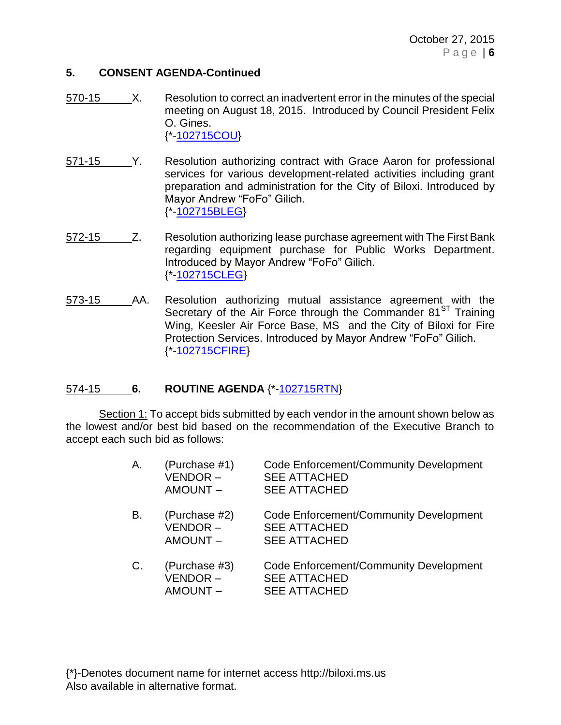## **5. CONSENT AGENDA-Continued**

- 570-15 X. Resolution to correct an inadvertent error in the minutes of the special meeting on August 18, 2015. Introduced by Council President Felix O. Gines. {\*[-102715COU}](http://www.biloxi.ms.us/agendas/citycouncil/2015/102715/102715cou.pdf)
- 571-15 Y. Resolution authorizing contract with Grace Aaron for professional services for various development-related activities including grant preparation and administration for the City of Biloxi. Introduced by Mayor Andrew "FoFo" Gilich. {\*[-102715BLEG}](http://www.biloxi.ms.us/agendas/citycouncil/2015/102715/102715bleg.pdf)
- 572-15 Z. Resolution authorizing lease purchase agreement with The First Bank regarding equipment purchase for Public Works Department. Introduced by Mayor Andrew "FoFo" Gilich. {\*[-102715CLEG}](http://www.biloxi.ms.us/agendas/citycouncil/2015/102715/102715cleg.pdf)
- 573-15 AA. Resolution authorizing mutual assistance agreement with the Secretary of the Air Force through the Commander  $81<sup>ST</sup>$  Training Wing, Keesler Air Force Base, MS and the City of Biloxi for Fire Protection Services. Introduced by Mayor Andrew "FoFo" Gilich. {\*[-102715CFIRE}](http://www.biloxi.ms.us/agendas/citycouncil/2015/102715/102715cfire.pdf)

# 574-15 **6. ROUTINE AGENDA** {\*[-102715RTN}](http://www.biloxi.ms.us/agendas/citycouncil/2015/102715/102715rtn.pdf)

Section 1: To accept bids submitted by each vendor in the amount shown below as the lowest and/or best bid based on the recommendation of the Executive Branch to accept each such bid as follows:

| Α. | (Purchase #1)<br>VENDOR-<br><b>AMOUNT-</b> | Code Enforcement/Community Development<br><b>SEE ATTACHED</b><br><b>SEE ATTACHED</b> |
|----|--------------------------------------------|--------------------------------------------------------------------------------------|
| В. | (Purchase #2)<br>VENDOR-<br><b>AMOUNT-</b> | Code Enforcement/Community Development<br><b>SEE ATTACHED</b><br><b>SEE ATTACHED</b> |
| C. | (Purchase #3)<br>VENDOR-<br><b>AMOUNT-</b> | Code Enforcement/Community Development<br><b>SEE ATTACHED</b><br><b>SEE ATTACHED</b> |